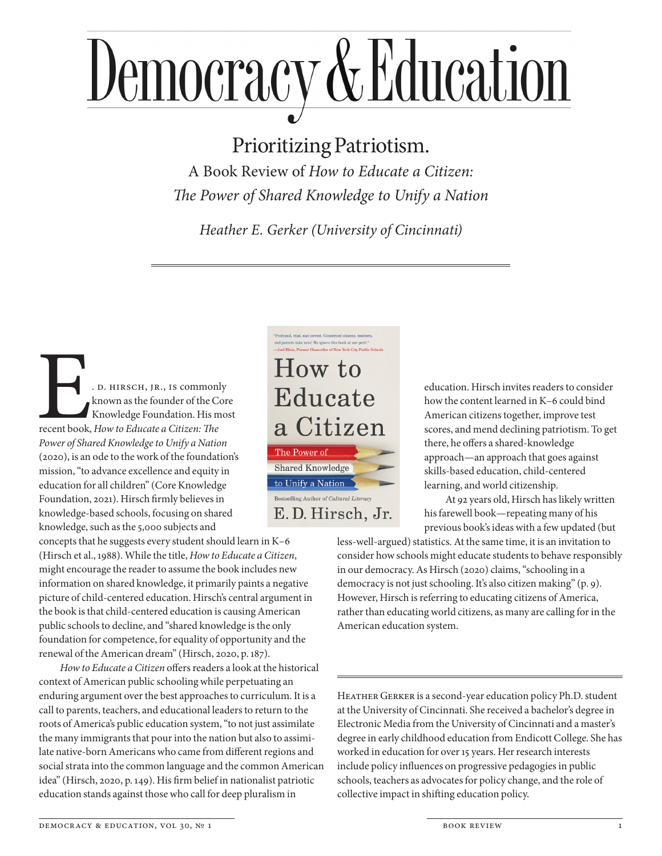## Democracy & Education

## Prioritizing Patriotism.

A Book Review of *How to Educate a Citizen: The Power of Shared Knowledge to Unify a Nation*

*Heather E. Gerker (University of Cincinnati)*

E. D. HIRSCH, JR., IS commonly<br>
known as the founder of the Cor<br>
Knowledge Foundation. His mo<br>
Francent book, How to Educate a Citizen: The<br>
Power of Shared Knowledge to Unity a Nation known as the founder of the Core Knowledge Foundation. His most recent book, *How to Educate a Citizen: The Power of Shared Knowledge to Unify a Nation* (2020), is an ode to the work of the foundation's mission, "to advance excellence and equity in education for all children" (Core Knowledge Foundation, 2021). Hirsch firmly believes in knowledge-based schools, focusing on shared knowledge, such as the 5,000 subjects and

concepts that he suggests every student should learn in K–6 (Hirsch et al., 1988). While the title, *How to Educate a Citizen*, might encourage the reader to assume the book includes new information on shared knowledge, it primarily paints a negative picture of child-centered education. Hirsch's central argument in the book is that child-centered education is causing American public schools to decline, and "shared knowledge is the only foundation for competence, for equality of opportunity and the renewal of the American dream" (Hirsch, 2020, p. 187).

*How to Educate a Citizen* offers readers a look at the historical context of American public schooling while perpetuating an enduring argument over the best approaches to curriculum. It is a call to parents, teachers, and educational leaders to return to the roots of America's public education system, "to not just assimilate the many immigrants that pour into the nation but also to assimilate native-born Americans who came from different regions and social strata into the common language and the common American idea" (Hirsch, 2020, p. 149). His firm belief in nationalist patriotic education stands against those who call for deep pluralism in



education. Hirsch invites readers to consider how the content learned in K–6 could bind American citizens together, improve test scores, and mend declining patriotism. To get there, he offers a shared-knowledge approach—an approach that goes against skills-based education, child-centered learning, and world citizenship.

At 92 years old, Hirsch has likely written his farewell book—repeating many of his previous book's ideas with a few updated (but

less-well-argued) statistics. At the same time, it is an invitation to consider how schools might educate students to behave responsibly in our democracy. As Hirsch (2020) claims, "schooling in a democracy is not just schooling. It's also citizen making" (p. 9). However, Hirsch is referring to educating citizens of America, rather than educating world citizens, as many are calling for in the American education system.

HEATHER GERKER is a second-year education policy Ph.D. student at the University of Cincinnati. She received a bachelor's degree in Electronic Media from the University of Cincinnati and a master's degree in early childhood education from Endicott College. She has worked in education for over 15 years. Her research interests include policy influences on progressive pedagogies in public schools, teachers as advocates for policy change, and the role of collective impact in shifting education policy.